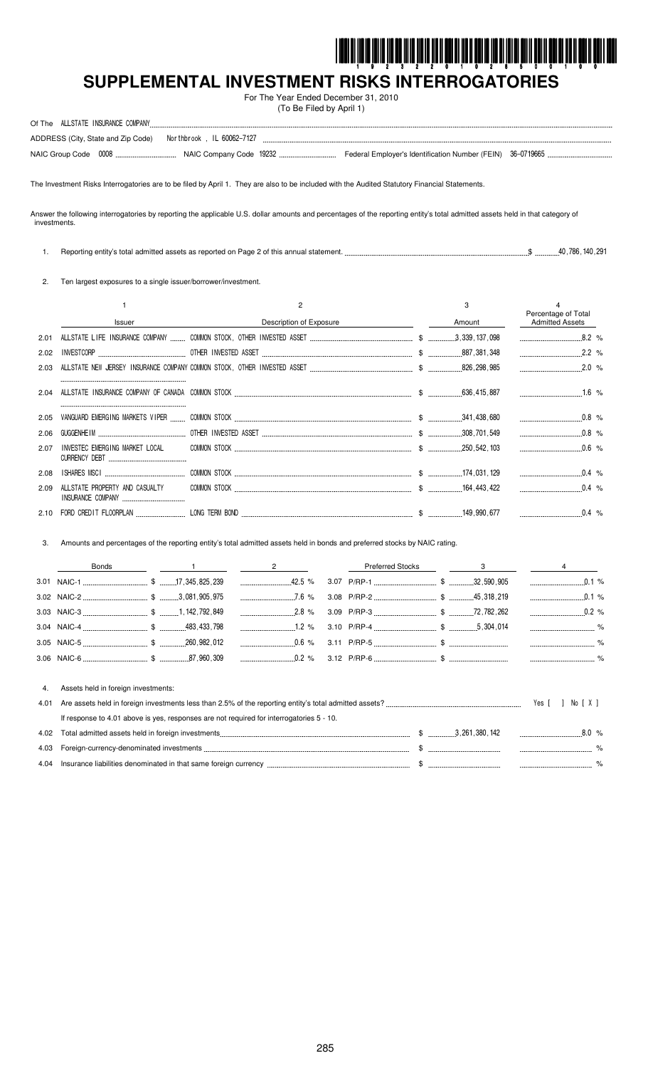

# SUPPLEMENTAL INVESTMENT RISKS INTERROGATORIES

For The Year Ended December 31, 2010 (To Be Filed by April 1)

| ALLSTATE INSURANCE COMPANY<br>Of The                            |  |  |
|-----------------------------------------------------------------|--|--|
| ADDRESS (City, State and Zip Code)    Morthbrook, IL 60062-7127 |  |  |
|                                                                 |  |  |

The Investment Risks Interrogatories are to be filed by April 1. They are also to be included with the Audited Statutory Financial Statements.

Answer the following interrogatories by reporting the applicable U.S. dollar amounts and percentages of the reporting entity's total admitted assets held in that category of investments.

1. Reporting entity's total admitted assets as reported on Page 2 of this annual statement... 

2. Ten largest exposures to a single issuer/borrower/investment.

|      |                                                            |                         | З             |                                               |     |
|------|------------------------------------------------------------|-------------------------|---------------|-----------------------------------------------|-----|
|      | <b>Issuer</b>                                              | Description of Exposure | Amount        | Percentage of Total<br><b>Admitted Assets</b> |     |
| 2.01 |                                                            |                         |               |                                               |     |
| 2.02 | <b>INVESTCORP</b>                                          |                         | .887,381,348  |                                               |     |
| 2.03 |                                                            |                         | 826,298,985   | 2.0%                                          |     |
| 2.04 |                                                            |                         | 636,415,887   |                                               | .6% |
| 2.05 | VANGUARD EMERGING MARKETS VIPER                            |                         |               |                                               |     |
| 2.06 | GUGGENHE I M                                               |                         | .308,701,549  |                                               |     |
| 2.07 | INVESTEC EMERGING MARKET LOCAL<br><b>CURRENCY DEBT</b>     |                         | 250,542,103   | $0.6\%$                                       |     |
| 2.08 | <b>ISHARES MSCI</b>                                        | COMMON STOCK.           |               |                                               |     |
| 2.09 | ALLSTATE PROPERTY AND CASUALTY<br><b>INSURANCE COMPANY</b> |                         | . 164.443.422 |                                               |     |
|      | CREDIT FLOORPLAN                                           |                         |               |                                               |     |

 $\mathcal{R}$ Amounts and percentages of the reporting entity's total admitted assets held in bonds and preferred stocks by NAIC rating.

|      | <b>Bonds</b>                                                                             | $\overline{\phantom{a}}$ 2 | <b>Preferred Stocks</b> | $\overline{\mathbf{3}}$                                                                                                                                                                                                              |                  |
|------|------------------------------------------------------------------------------------------|----------------------------|-------------------------|--------------------------------------------------------------------------------------------------------------------------------------------------------------------------------------------------------------------------------------|------------------|
|      |                                                                                          |                            |                         |                                                                                                                                                                                                                                      | 0.1%<br>$\cdots$ |
|      |                                                                                          |                            |                         |                                                                                                                                                                                                                                      | $0.1\%$          |
|      |                                                                                          |                            |                         |                                                                                                                                                                                                                                      |                  |
|      |                                                                                          |                            |                         |                                                                                                                                                                                                                                      |                  |
|      |                                                                                          |                            |                         |                                                                                                                                                                                                                                      |                  |
|      |                                                                                          |                            |                         |                                                                                                                                                                                                                                      |                  |
|      |                                                                                          |                            |                         |                                                                                                                                                                                                                                      |                  |
| 4.   | Assets held in foreign investments:                                                      |                            |                         |                                                                                                                                                                                                                                      |                  |
| 4.01 |                                                                                          |                            |                         |                                                                                                                                                                                                                                      | No [X]<br>Yes [  |
|      | If response to 4.01 above is yes, responses are not required for interrogatories 5 - 10. |                            |                         |                                                                                                                                                                                                                                      |                  |
| 4.02 |                                                                                          |                            |                         |                                                                                                                                                                                                                                      | $8.0\%$          |
| 4.03 |                                                                                          |                            |                         |                                                                                                                                                                                                                                      |                  |
| 4.04 |                                                                                          |                            |                         | lnsurance liabilities denominated in that same foreign currency <i>measurement measurement</i> \$ measurement measurement that same foreign currency measurement that the same of the state of the state of the state of the state o |                  |

4.04 Insurance liabilities denominated in that same foreign currency ...  $$$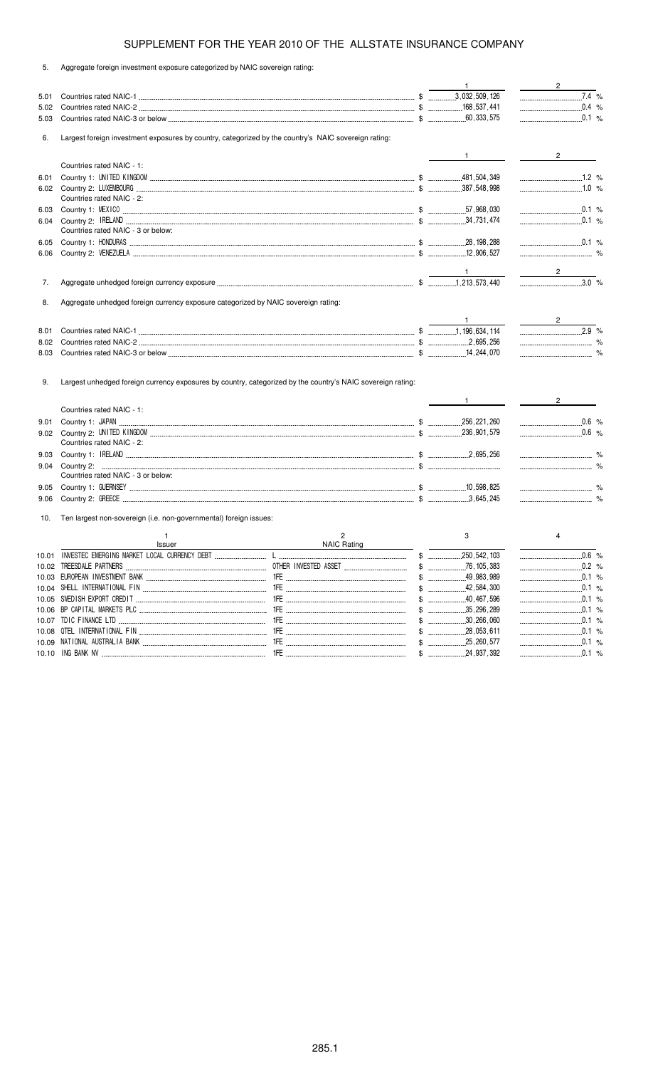5. Aggregate foreign investment exposure categorized by NAIC sovereign rating:

|       |                                                                                                             |                        | 1                            | $\frac{2}{\sqrt{2}}$ |  |
|-------|-------------------------------------------------------------------------------------------------------------|------------------------|------------------------------|----------------------|--|
| 5.01  |                                                                                                             |                        |                              | $\overline{7.4}$ %   |  |
| 5.02  |                                                                                                             |                        |                              | $0.4 %$              |  |
| 5.03  |                                                                                                             |                        |                              |                      |  |
|       |                                                                                                             |                        |                              |                      |  |
| 6.    | Largest foreign investment exposures by country, categorized by the country's NAIC sovereign rating:        |                        |                              |                      |  |
|       |                                                                                                             |                        | $\frac{1}{1}$                | $\frac{2}{\sqrt{2}}$ |  |
|       | Countries rated NAIC - 1:                                                                                   |                        |                              |                      |  |
| 6.01  |                                                                                                             |                        |                              |                      |  |
|       |                                                                                                             |                        |                              | $\ldots$ 1.0 %       |  |
|       | Countries rated NAIC - 2:                                                                                   |                        |                              |                      |  |
| 6.03  |                                                                                                             |                        |                              | 0.1 %                |  |
| 6.04  |                                                                                                             |                        |                              |                      |  |
|       | Countries rated NAIC - 3 or below:                                                                          |                        |                              |                      |  |
| 6.05  |                                                                                                             |                        |                              | $\ldots$ 0.1 %       |  |
| 6.06  |                                                                                                             |                        |                              |                      |  |
|       |                                                                                                             |                        |                              |                      |  |
|       |                                                                                                             |                        |                              | $\frac{2}{\sqrt{2}}$ |  |
| 7.    |                                                                                                             |                        |                              |                      |  |
|       |                                                                                                             |                        |                              |                      |  |
| 8.    | Aggregate unhedged foreign currency exposure categorized by NAIC sovereign rating:                          |                        |                              |                      |  |
|       |                                                                                                             |                        |                              |                      |  |
|       |                                                                                                             |                        | $\sim$ 1.0 $\sim$ 0.0 $\sim$ | $2.9\%$              |  |
| 8.01  |                                                                                                             |                        |                              |                      |  |
| 8.02  |                                                                                                             |                        |                              |                      |  |
| 8.03  |                                                                                                             |                        |                              |                      |  |
|       |                                                                                                             |                        |                              |                      |  |
| 9.    | Largest unhedged foreign currency exposures by country, categorized by the country's NAIC sovereign rating: |                        |                              |                      |  |
|       |                                                                                                             |                        |                              | $\frac{2}{\sqrt{2}}$ |  |
|       | Countries rated NAIC - 1:                                                                                   |                        | $1 \qquad \qquad$            |                      |  |
|       |                                                                                                             |                        |                              | $0.6 %$              |  |
| 9.01  |                                                                                                             |                        |                              | $\frac{1}{2}$ 0.6 %  |  |
|       | Countries rated NAIC - 2:                                                                                   |                        |                              |                      |  |
|       |                                                                                                             |                        |                              |                      |  |
| 9.03  |                                                                                                             |                        |                              |                      |  |
| 9.04  | Countries rated NAIC - 3 or below:                                                                          |                        |                              |                      |  |
|       |                                                                                                             |                        |                              |                      |  |
| 9.05  |                                                                                                             |                        |                              |                      |  |
| 9.06  |                                                                                                             |                        |                              |                      |  |
| 10.   | Ten largest non-sovereign (i.e. non-governmental) foreign issues:                                           |                        |                              |                      |  |
|       |                                                                                                             |                        |                              |                      |  |
|       | 1                                                                                                           | 2                      | 3                            | 4                    |  |
|       | Issuer                                                                                                      | <b>NAIC Rating</b>     |                              |                      |  |
|       | 10.01 INVESTEC EMERGING MARKET LOCAL CURRENCY DERT                                                          | and the control of the | \$<br>250 542 103            | 0.6%                 |  |
|       |                                                                                                             |                        |                              | $0.2$ %              |  |
|       |                                                                                                             |                        | $$$ 49.983.989               |                      |  |
|       |                                                                                                             |                        |                              | $\ldots$ 0.1 %       |  |
|       |                                                                                                             |                        |                              | $\ldots$ 0.1 %       |  |
| 10.06 |                                                                                                             |                        | $$$ 35,296,289               |                      |  |
| 10.07 |                                                                                                             |                        |                              |                      |  |
|       |                                                                                                             |                        |                              |                      |  |
| 10.08 |                                                                                                             |                        |                              | 0.1 %                |  |

10.10 % \$ - - %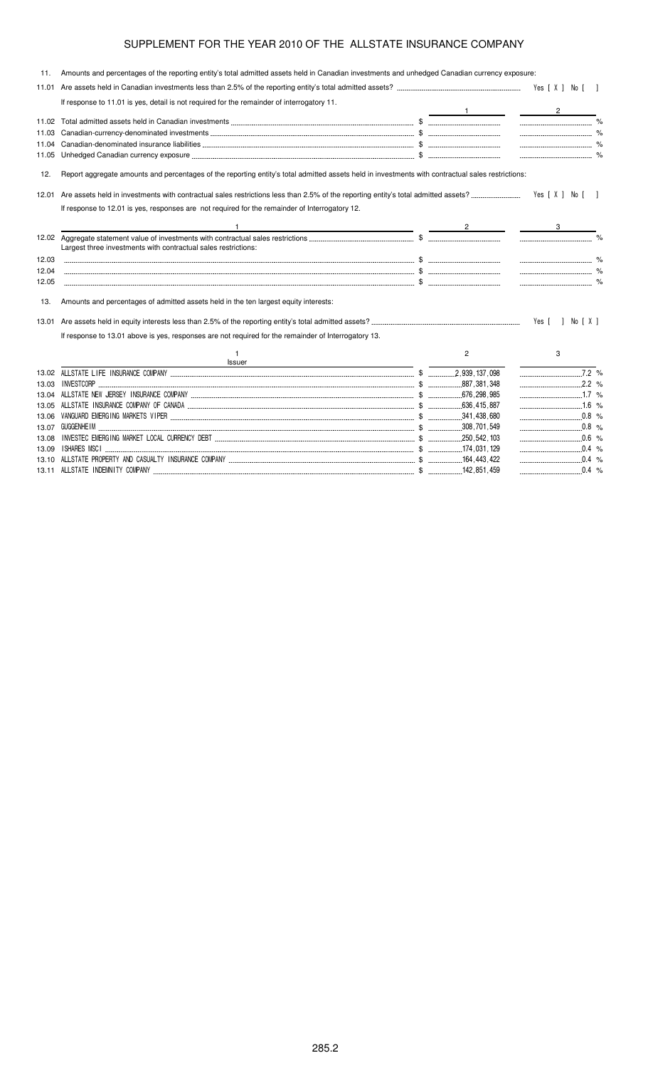| 11.   | Amounts and percentages of the reporting entity's total admitted assets held in Canadian investments and unhedged Canadian currency exposure:     |                |                                |  |
|-------|---------------------------------------------------------------------------------------------------------------------------------------------------|----------------|--------------------------------|--|
| 11.01 |                                                                                                                                                   |                |                                |  |
|       | If response to 11.01 is yes, detail is not required for the remainder of interrogatory 11.                                                        |                |                                |  |
|       |                                                                                                                                                   |                | $\overline{2}$                 |  |
|       |                                                                                                                                                   |                |                                |  |
| 11.03 |                                                                                                                                                   |                |                                |  |
|       |                                                                                                                                                   |                |                                |  |
| 11.05 |                                                                                                                                                   |                |                                |  |
| 12.   | Report aggregate amounts and percentages of the reporting entity's total admitted assets held in investments with contractual sales restrictions: |                |                                |  |
| 12.01 |                                                                                                                                                   |                |                                |  |
|       | If response to 12.01 is yes, responses are not required for the remainder of Interrogatory 12.                                                    |                |                                |  |
|       |                                                                                                                                                   |                |                                |  |
|       |                                                                                                                                                   |                |                                |  |
|       |                                                                                                                                                   |                |                                |  |
|       | Largest three investments with contractual sales restrictions:                                                                                    |                |                                |  |
| 12.03 |                                                                                                                                                   |                |                                |  |
| 12.04 |                                                                                                                                                   |                |                                |  |
| 12.05 |                                                                                                                                                   |                |                                |  |
| 13.   | Amounts and percentages of admitted assets held in the ten largest equity interests:                                                              |                |                                |  |
| 13.01 |                                                                                                                                                   |                | Yes [ ] No [ X ]               |  |
|       | If response to 13.01 above is yes, responses are not required for the remainder of Interrogatory 13.                                              |                |                                |  |
|       |                                                                                                                                                   | $\overline{2}$ | 3                              |  |
|       | Issuer                                                                                                                                            |                |                                |  |
|       |                                                                                                                                                   |                | $\overline{\phantom{1}}$ 7.2 % |  |
| 13.03 |                                                                                                                                                   |                |                                |  |
|       |                                                                                                                                                   |                |                                |  |
| 13.05 |                                                                                                                                                   |                |                                |  |
| 13.06 |                                                                                                                                                   |                |                                |  |
| 13.07 |                                                                                                                                                   |                |                                |  |
| 13.08 |                                                                                                                                                   |                |                                |  |
|       |                                                                                                                                                   |                |                                |  |

13.10  &   \$ \$!!!! ! % 13.11  & \$ !%!% ! %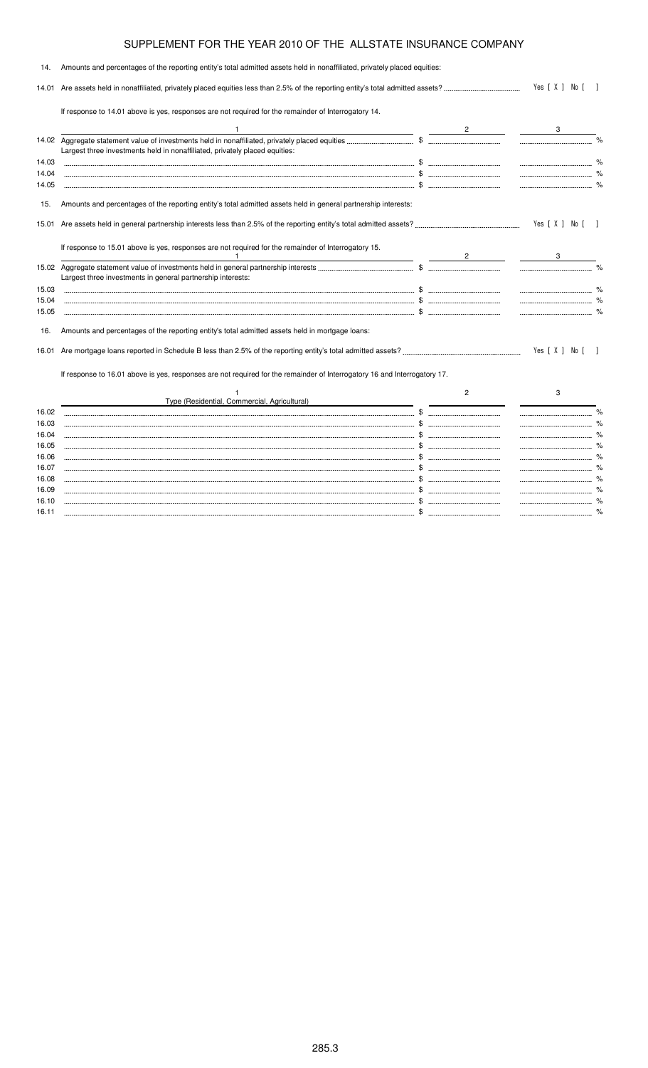|                                                                                                                |                                                                                                                           | Yes [ X ] No [ ]                                                                                                          |      |
|----------------------------------------------------------------------------------------------------------------|---------------------------------------------------------------------------------------------------------------------------|---------------------------------------------------------------------------------------------------------------------------|------|
| If response to 14.01 above is yes, responses are not required for the remainder of Interrogatory 14.           |                                                                                                                           |                                                                                                                           |      |
|                                                                                                                |                                                                                                                           |                                                                                                                           |      |
| Largest three investments held in nonaffiliated, privately placed equities:                                    |                                                                                                                           |                                                                                                                           |      |
|                                                                                                                |                                                                                                                           |                                                                                                                           |      |
|                                                                                                                |                                                                                                                           |                                                                                                                           |      |
|                                                                                                                |                                                                                                                           |                                                                                                                           |      |
| Amounts and percentages of the reporting entity's total admitted assets held in general partnership interests: |                                                                                                                           |                                                                                                                           |      |
|                                                                                                                |                                                                                                                           | Yes [ X ] No [ ]                                                                                                          |      |
| If response to 15.01 above is yes, responses are not required for the remainder of Interrogatory 15.           |                                                                                                                           |                                                                                                                           |      |
|                                                                                                                |                                                                                                                           |                                                                                                                           |      |
| Largest three investments in general partnership interests:                                                    |                                                                                                                           |                                                                                                                           |      |
|                                                                                                                |                                                                                                                           |                                                                                                                           |      |
|                                                                                                                |                                                                                                                           |                                                                                                                           |      |
|                                                                                                                |                                                                                                                           |                                                                                                                           |      |
| Amounts and percentages of the reporting entity's total admitted assets held in mortgage loans:                |                                                                                                                           |                                                                                                                           |      |
|                                                                                                                |                                                                                                                           | Yes [ X ] No [                                                                                                            |      |
|                                                                                                                |                                                                                                                           |                                                                                                                           |      |
| Type (Residential, Commercial, Agricultural)                                                                   | $\overline{2}$                                                                                                            | 3                                                                                                                         |      |
|                                                                                                                |                                                                                                                           |                                                                                                                           |      |
|                                                                                                                |                                                                                                                           |                                                                                                                           | $\%$ |
|                                                                                                                |                                                                                                                           |                                                                                                                           |      |
|                                                                                                                |                                                                                                                           |                                                                                                                           |      |
|                                                                                                                |                                                                                                                           |                                                                                                                           |      |
|                                                                                                                |                                                                                                                           |                                                                                                                           |      |
|                                                                                                                |                                                                                                                           |                                                                                                                           |      |
|                                                                                                                |                                                                                                                           |                                                                                                                           |      |
|                                                                                                                |                                                                                                                           |                                                                                                                           |      |
| 14.01                                                                                                          | Amounts and percentages of the reporting entity's total admitted assets held in nonaffiliated, privately placed equities: | If response to 16.01 above is yes, responses are not required for the remainder of Interrogatory 16 and Interrogatory 17. |      |

16.10 \$ % 16.11 \$ %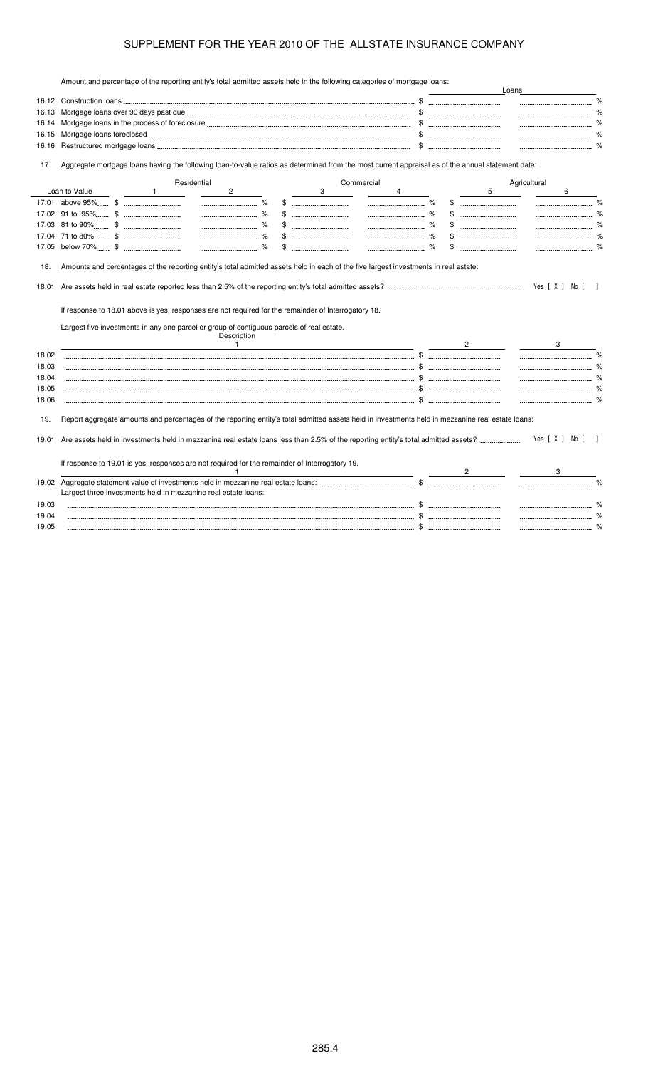Amount and percentage of the reporting entity's total admitted assets held in the following categories of mortgage loans:

| 16.13                                              |                                                                                                                                                                                                   |              |             |                |     |   |            |   |              |                                |              |                |              |
|----------------------------------------------------|---------------------------------------------------------------------------------------------------------------------------------------------------------------------------------------------------|--------------|-------------|----------------|-----|---|------------|---|--------------|--------------------------------|--------------|----------------|--------------|
| 16.14                                              |                                                                                                                                                                                                   |              |             |                |     |   |            |   |              |                                |              |                |              |
| 16.15                                              |                                                                                                                                                                                                   |              |             |                |     |   |            |   |              |                                |              |                |              |
| 16.16                                              |                                                                                                                                                                                                   |              |             |                |     |   |            |   | $\mathbb{S}$ |                                |              | $\%$           |              |
| 17.                                                | Aggregate mortgage loans having the following loan-to-value ratios as determined from the most current appraisal as of the annual statement date:                                                 |              |             |                |     |   |            |   |              |                                |              |                |              |
|                                                    |                                                                                                                                                                                                   |              | Residential |                |     |   | Commercial |   |              |                                | Agricultural |                |              |
|                                                    | Loan to Value                                                                                                                                                                                     | $\mathbf{1}$ | 2           |                |     | 3 |            | 4 |              | 5                              |              | 6              |              |
|                                                    |                                                                                                                                                                                                   |              |             |                |     |   |            |   |              |                                |              |                |              |
|                                                    |                                                                                                                                                                                                   |              |             | $\%$           |     |   |            |   |              |                                |              |                |              |
|                                                    |                                                                                                                                                                                                   |              |             | $\%$           | \$. |   |            |   |              |                                |              |                |              |
|                                                    |                                                                                                                                                                                                   |              |             | $\%$           |     |   |            |   |              |                                |              |                |              |
|                                                    |                                                                                                                                                                                                   |              |             |                |     |   |            |   |              |                                |              |                |              |
| 18.                                                |                                                                                                                                                                                                   |              |             |                |     |   |            |   |              |                                |              | Yes [ X ] No [ |              |
|                                                    | If response to 18.01 above is yes, responses are not required for the remainder of Interrogatory 18.<br>Largest five investments in any one parcel or group of contiguous parcels of real estate. |              |             | Description    |     |   |            |   |              |                                |              |                |              |
|                                                    |                                                                                                                                                                                                   |              |             | $\overline{1}$ |     |   |            |   |              | $2 \left( \frac{1}{2} \right)$ |              |                |              |
|                                                    |                                                                                                                                                                                                   |              |             |                |     |   |            |   |              |                                |              |                |              |
|                                                    |                                                                                                                                                                                                   |              |             |                |     |   |            |   |              |                                |              |                |              |
|                                                    |                                                                                                                                                                                                   |              |             |                |     |   |            |   |              |                                |              |                |              |
| 18.01<br>18.02<br>18.03<br>18.04<br>18.05<br>18.06 |                                                                                                                                                                                                   |              |             |                |     |   |            |   |              |                                |              |                | $\%$<br>$\%$ |
| 19.                                                | Report aggregate amounts and percentages of the reporting entity's total admitted assets held in investments held in mezzanine real estate loans:                                                 |              |             |                |     |   |            |   |              |                                |              |                |              |
|                                                    |                                                                                                                                                                                                   |              |             |                |     |   |            |   |              |                                |              | Yes [ X ] No [ |              |
|                                                    | If response to 19.01 is yes, responses are not required for the remainder of Interrogatory 19.                                                                                                    |              |             |                |     |   |            |   |              |                                |              |                |              |
|                                                    |                                                                                                                                                                                                   |              |             |                |     |   |            |   |              |                                |              |                |              |
|                                                    |                                                                                                                                                                                                   |              |             |                |     |   |            |   |              |                                |              |                |              |
| 19.01<br>19.02                                     | Largest three investments held in mezzanine real estate loans:                                                                                                                                    |              |             |                |     |   |            |   |              |                                |              |                |              |
| 19.03<br>19.04                                     |                                                                                                                                                                                                   |              |             |                |     |   |            |   |              |                                |              |                | $\%$         |